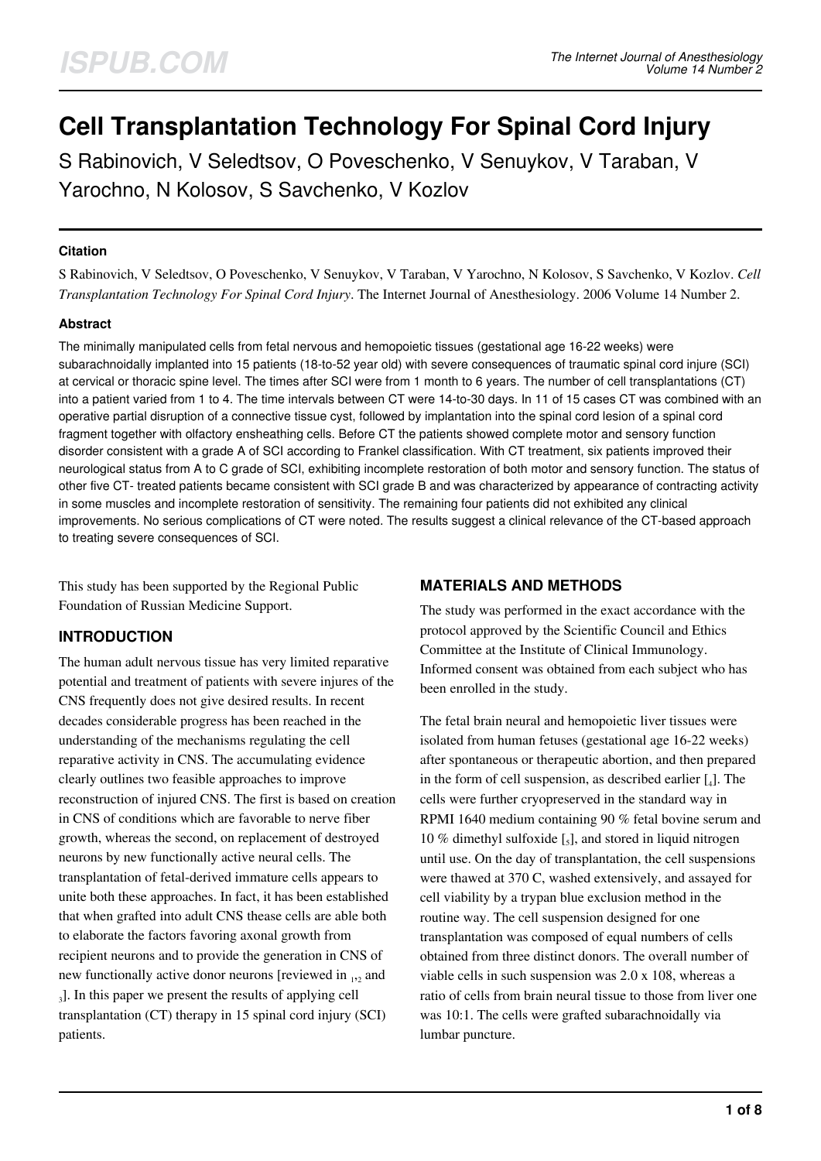# **Cell Transplantation Technology For Spinal Cord Injury**

S Rabinovich, V Seledtsov, O Poveschenko, V Senuykov, V Taraban, V Yarochno, N Kolosov, S Savchenko, V Kozlov

#### **Citation**

S Rabinovich, V Seledtsov, O Poveschenko, V Senuykov, V Taraban, V Yarochno, N Kolosov, S Savchenko, V Kozlov. *Cell Transplantation Technology For Spinal Cord Injury*. The Internet Journal of Anesthesiology. 2006 Volume 14 Number 2.

#### **Abstract**

The minimally manipulated cells from fetal nervous and hemopoietic tissues (gestational age 16-22 weeks) were subarachnoidally implanted into 15 patients (18-to-52 year old) with severe consequences of traumatic spinal cord injure (SCI) at cervical or thoracic spine level. The times after SCI were from 1 month to 6 years. The number of cell transplantations (CT) into a patient varied from 1 to 4. The time intervals between CT were 14-to-30 days. In 11 of 15 cases CT was combined with an operative partial disruption of a connective tissue cyst, followed by implantation into the spinal cord lesion of a spinal cord fragment together with olfactory ensheathing cells. Before CT the patients showed complete motor and sensory function disorder consistent with a grade A of SCI according to Frankel classification. With CT treatment, six patients improved their neurological status from A to C grade of SCI, exhibiting incomplete restoration of both motor and sensory function. The status of other five CT- treated patients became consistent with SCI grade B and was characterized by appearance of contracting activity in some muscles and incomplete restoration of sensitivity. The remaining four patients did not exhibited any clinical improvements. No serious complications of CT were noted. The results suggest a clinical relevance of the CT-based approach to treating severe consequences of SCI.

This study has been supported by the Regional Public Foundation of Russian Medicine Support.

# **INTRODUCTION**

The human adult nervous tissue has very limited reparative potential and treatment of patients with severe injures of the CNS frequently does not give desired results. In recent decades considerable progress has been reached in the understanding of the mechanisms regulating the cell reparative activity in CNS. The accumulating evidence clearly outlines two feasible approaches to improve reconstruction of injured CNS. The first is based on creation in CNS of conditions which are favorable to nerve fiber growth, whereas the second, on replacement of destroyed neurons by new functionally active neural cells. The transplantation of fetal-derived immature cells appears to unite both these approaches. In fact, it has been established that when grafted into adult CNS thease cells are able both to elaborate the factors favoring axonal growth from recipient neurons and to provide the generation in CNS of new functionally active donor neurons [reviewed in  $_{12}$  and 3 ]. In this paper we present the results of applying cell transplantation (CT) therapy in 15 spinal cord injury (SCI) patients.

### **MATERIALS AND METHODS**

The study was performed in the exact accordance with the protocol approved by the Scientific Council and Ethics Committee at the Institute of Clinical Immunology. Informed consent was obtained from each subject who has been enrolled in the study.

The fetal brain neural and hemopoietic liver tissues were isolated from human fetuses (gestational age 16-22 weeks) after spontaneous or therapeutic abortion, and then prepared in the form of cell suspension, as described earlier  $[$ <sub>4</sub> $].$  The cells were further cryopreserved in the standard way in RPMI 1640 medium containing 90 % fetal bovine serum and 10 % dimethyl sulfoxide  $\left[\frac{1}{5}\right]$ , and stored in liquid nitrogen until use. On the day of transplantation, the cell suspensions were thawed at 370 C, washed extensively, and assayed for cell viability by a trypan blue exclusion method in the routine way. The cell suspension designed for one transplantation was composed of equal numbers of cells obtained from three distinct donors. The overall number of viable cells in such suspension was 2.0 x 108, whereas a ratio of cells from brain neural tissue to those from liver one was 10:1. The cells were grafted subarachnoidally via lumbar puncture.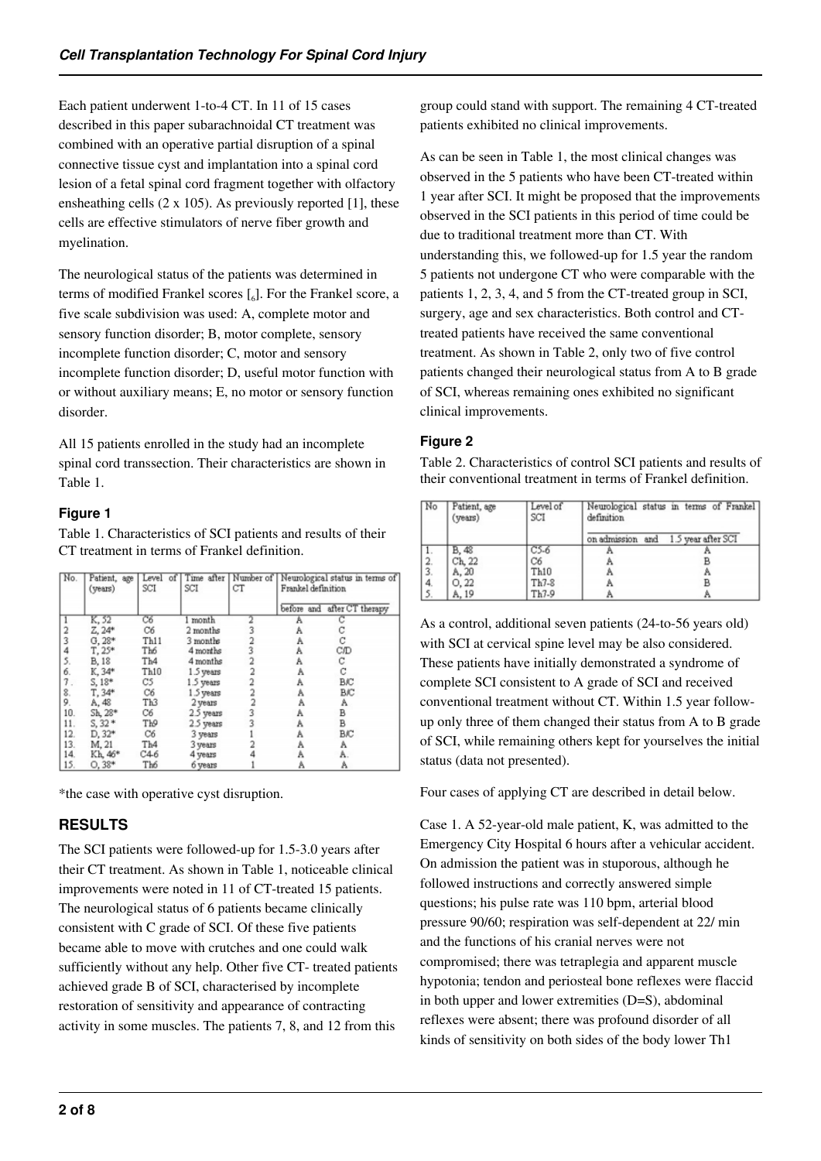Each patient underwent 1-to-4 CT. In 11 of 15 cases described in this paper subarachnoidal CT treatment was combined with an operative partial disruption of a spinal connective tissue cyst and implantation into a spinal cord lesion of a fetal spinal cord fragment together with olfactory ensheathing cells  $(2 \times 105)$ . As previously reported [1], these cells are effective stimulators of nerve fiber growth and myelination.

The neurological status of the patients was determined in terms of modified Frankel scores  $\left[\begin{smallmatrix}6\end{smallmatrix}\right]$ . For the Frankel score, a five scale subdivision was used: A, complete motor and sensory function disorder; B, motor complete, sensory incomplete function disorder; C, motor and sensory incomplete function disorder; D, useful motor function with or without auxiliary means; E, no motor or sensory function disorder.

All 15 patients enrolled in the study had an incomplete spinal cord transsection. Their characteristics are shown in Table 1.

## **Figure 1**

Table 1. Characteristics of SCI patients and results of their CT treatment in terms of Frankel definition.

| No. | Patient, age<br>(years) | Level of<br>SCI | SCI       | CT | Time after   Number of   Neurological status in terms of<br>Frankel definition |                             |
|-----|-------------------------|-----------------|-----------|----|--------------------------------------------------------------------------------|-----------------------------|
|     |                         |                 |           |    |                                                                                | before and after CT therapy |
|     | K, 52                   | Cб              | 1 month   |    | Α                                                                              |                             |
| 2   | $Z, 24*$                | C6              | 2 months  |    | A                                                                              | С                           |
| 3   | $G.28*$                 | Th11            | 3 months  |    | Α                                                                              | C                           |
| 4   | $T, 25*$                | Th6             | 4 months  | 3  | A                                                                              | C/D                         |
| 5.  | <b>B.18</b>             | Th4             | 4 months  |    | A                                                                              | C                           |
| 6.  | K, 34*                  | Th10            | 1.5 years |    | Α                                                                              | C                           |
| 7.  | $S, 18*$                | C5              | 1.5 years |    | A                                                                              | BIC                         |
| 8.  | T. 34*                  | C6              | 1.5 years |    | Α                                                                              | <b>B</b> IC                 |
| 9.  | A, 48                   | Th3             | 2 years   |    | Α                                                                              | Α                           |
| 10. | Sh, 28*                 | C6              | 2.5 years | 3  | A                                                                              | В                           |
| 11. | $S, 32*$                | Τю              | 2.5 years |    | A                                                                              | В                           |
| 12. | D. 32*                  | C6              | 3 years   |    | Α                                                                              | BIC                         |
| 13. | M. 21                   | Th <sub>4</sub> | 3 years   |    | Α                                                                              | Α                           |
| 14. | Kh, 46*                 | C46             | 4 years   |    | Α                                                                              | A.                          |
| 15. | $O.38*$                 | Th6             | 6 years   |    | Α                                                                              | A                           |

\*the case with operative cyst disruption.

# **RESULTS**

The SCI patients were followed-up for 1.5-3.0 years after their CT treatment. As shown in Table 1, noticeable clinical improvements were noted in 11 of CT-treated 15 patients. The neurological status of 6 patients became clinically consistent with C grade of SCI. Of these five patients became able to move with crutches and one could walk sufficiently without any help. Other five CT- treated patients achieved grade B of SCI, characterised by incomplete restoration of sensitivity and appearance of contracting activity in some muscles. The patients 7, 8, and 12 from this

group could stand with support. The remaining 4 CT-treated patients exhibited no clinical improvements.

As can be seen in Table 1, the most clinical changes was observed in the 5 patients who have been CT-treated within 1 year after SCI. It might be proposed that the improvements observed in the SCI patients in this period of time could be due to traditional treatment more than CT. With understanding this, we followed-up for 1.5 year the random 5 patients not undergone CT who were comparable with the patients 1, 2, 3, 4, and 5 from the CT-treated group in SCI, surgery, age and sex characteristics. Both control and CTtreated patients have received the same conventional treatment. As shown in Table 2, only two of five control patients changed their neurological status from A to B grade of SCI, whereas remaining ones exhibited no significant clinical improvements.

## **Figure 2**

Table 2. Characteristics of control SCI patients and results of their conventional treatment in terms of Frankel definition.

| No            | Patient, age<br>(years) | Level of<br>SCI | Neurological status in terms of Frankel<br>definition |                                     |  |
|---------------|-------------------------|-----------------|-------------------------------------------------------|-------------------------------------|--|
|               |                         |                 |                                                       | on admission and 1.5 year after SCI |  |
|               | B, 48                   | $C5-6$          |                                                       |                                     |  |
|               | Ch, 22                  | Cб              |                                                       |                                     |  |
| $\frac{2}{3}$ | A, 20                   | Th10            |                                                       |                                     |  |
| 4.            | O, 22                   | Th7-8           |                                                       |                                     |  |
|               | A, 19                   | Th7-9           |                                                       | B                                   |  |

As a control, additional seven patients (24-to-56 years old) with SCI at cervical spine level may be also considered. These patients have initially demonstrated a syndrome of complete SCI consistent to A grade of SCI and received conventional treatment without CT. Within 1.5 year followup only three of them changed their status from A to B grade of SCI, while remaining others kept for yourselves the initial status (data not presented).

Four cases of applying CT are described in detail below.

Case 1. A 52-year-old male patient, K, was admitted to the Emergency City Hospital 6 hours after a vehicular accident. On admission the patient was in stuporous, although he followed instructions and correctly answered simple questions; his pulse rate was 110 bpm, arterial blood pressure 90/60; respiration was self-dependent at 22/ min and the functions of his cranial nerves were not compromised; there was tetraplegia and apparent muscle hypotonia; tendon and periosteal bone reflexes were flaccid in both upper and lower extremities (D=S), abdominal reflexes were absent; there was profound disorder of all kinds of sensitivity on both sides of the body lower Th1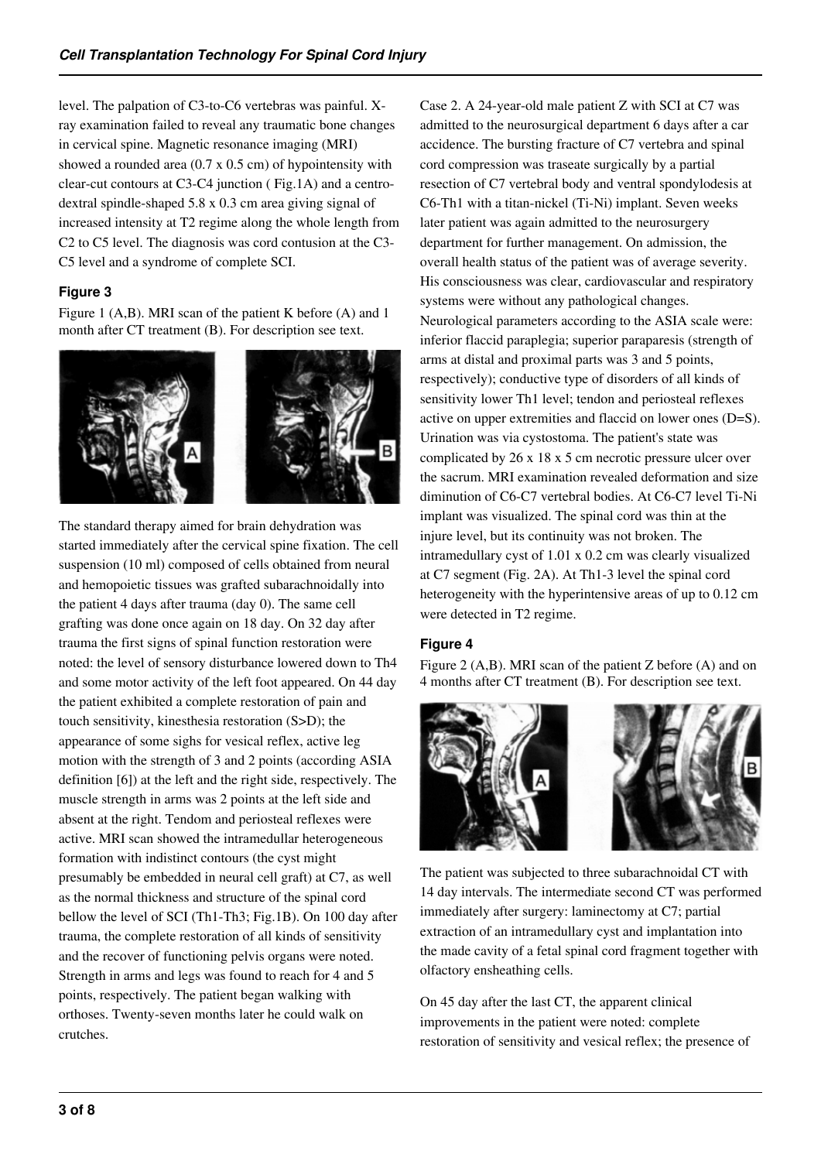level. The palpation of C3-to-C6 vertebras was painful. Xray examination failed to reveal any traumatic bone changes in cervical spine. Magnetic resonance imaging (MRI) showed a rounded area (0.7 x 0.5 cm) of hypointensity with clear-cut contours at C3-C4 junction ( Fig.1A) and a centrodextral spindle-shaped 5.8 x 0.3 cm area giving signal of increased intensity at T2 regime along the whole length from C2 to C5 level. The diagnosis was cord contusion at the C3- C5 level and a syndrome of complete SCI.

#### **Figure 3**

Figure 1 (A,B). MRI scan of the patient K before (A) and 1 month after CT treatment (B). For description see text.



The standard therapy aimed for brain dehydration was started immediately after the cervical spine fixation. The cell suspension (10 ml) composed of cells obtained from neural and hemopoietic tissues was grafted subarachnoidally into the patient 4 days after trauma (day 0). The same cell grafting was done once again on 18 day. On 32 day after trauma the first signs of spinal function restoration were noted: the level of sensory disturbance lowered down to Th4 and some motor activity of the left foot appeared. On 44 day the patient exhibited a complete restoration of pain and touch sensitivity, kinesthesia restoration (S>D); the appearance of some sighs for vesical reflex, active leg motion with the strength of 3 and 2 points (according ASIA definition [6]) at the left and the right side, respectively. The muscle strength in arms was 2 points at the left side and absent at the right. Tendom and periosteal reflexes were active. MRI scan showed the intramedullar heterogeneous formation with indistinct contours (the cyst might presumably be embedded in neural cell graft) at C7, as well as the normal thickness and structure of the spinal cord bellow the level of SCI (Th1-Th3; Fig.1B). On 100 day after trauma, the complete restoration of all kinds of sensitivity and the recover of functioning pelvis organs were noted. Strength in arms and legs was found to reach for 4 and 5 points, respectively. The patient began walking with orthoses. Twenty-seven months later he could walk on crutches.

Case 2. A 24-year-old male patient Z with SCI at C7 was admitted to the neurosurgical department 6 days after a car accidence. The bursting fracture of C7 vertebra and spinal cord compression was traseate surgically by a partial resection of C7 vertebral body and ventral spondylodesis at C6-Th1 with a titan-nickel (Ti-Ni) implant. Seven weeks later patient was again admitted to the neurosurgery department for further management. On admission, the overall health status of the patient was of average severity. His consciousness was clear, cardiovascular and respiratory systems were without any pathological changes. Neurological parameters according to the ASIA scale were: inferior flaccid paraplegia; superior paraparesis (strength of arms at distal and proximal parts was 3 and 5 points, respectively); conductive type of disorders of all kinds of sensitivity lower Th1 level; tendon and periosteal reflexes active on upper extremities and flaccid on lower ones (D=S). Urination was via cystostoma. The patient's state was complicated by 26 x 18 x 5 cm necrotic pressure ulcer over the sacrum. MRI examination revealed deformation and size diminution of C6-C7 vertebral bodies. At C6-C7 level Ti-Ni implant was visualized. The spinal cord was thin at the injure level, but its continuity was not broken. The intramedullary cyst of 1.01 x 0.2 cm was clearly visualized at C7 segment (Fig. 2A). At Th1-3 level the spinal cord heterogeneity with the hyperintensive areas of up to 0.12 cm were detected in T2 regime.

#### **Figure 4**

Figure 2 (A,B). MRI scan of the patient Z before (A) and on 4 months after CT treatment (B). For description see text.



The patient was subjected to three subarachnoidal CT with 14 day intervals. The intermediate second CT was performed immediately after surgery: laminectomy at C7; partial extraction of an intramedullary cyst and implantation into the made cavity of a fetal spinal cord fragment together with olfactory ensheathing cells.

On 45 day after the last CT, the apparent clinical improvements in the patient were noted: complete restoration of sensitivity and vesical reflex; the presence of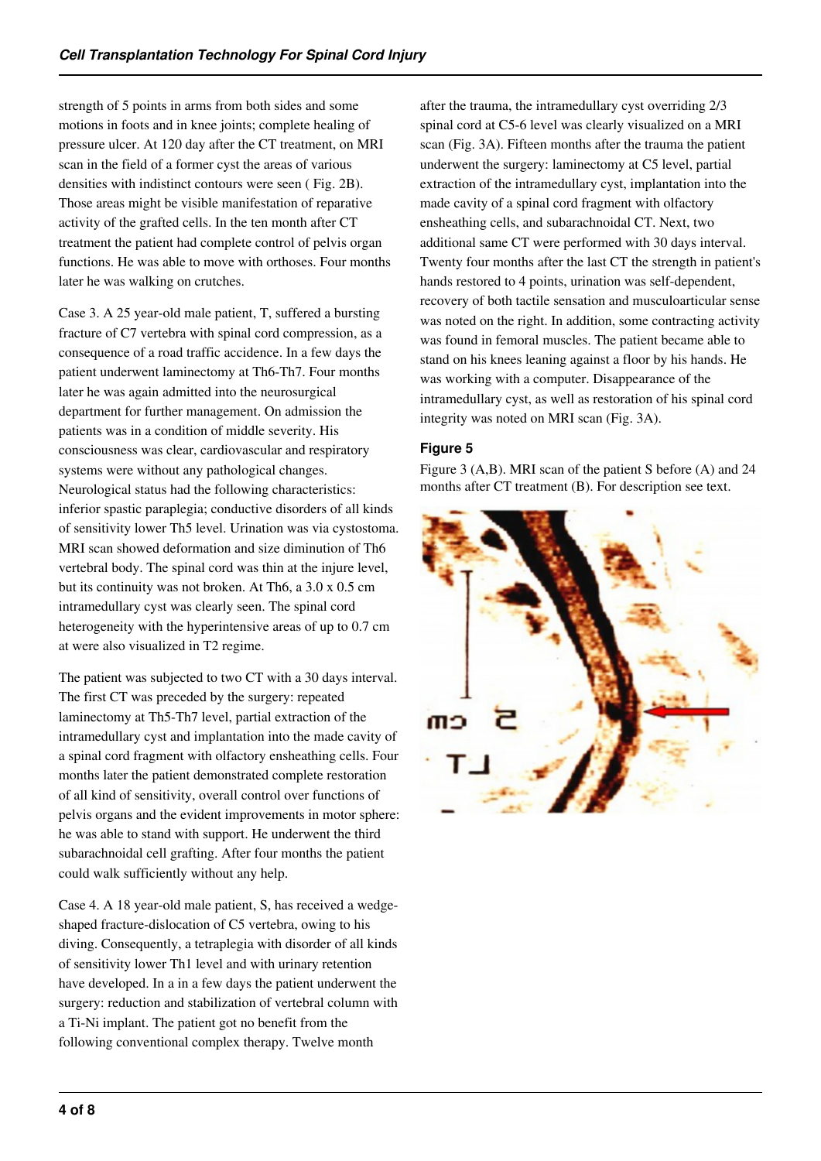strength of 5 points in arms from both sides and some motions in foots and in knee joints; complete healing of pressure ulcer. At 120 day after the CT treatment, on MRI scan in the field of a former cyst the areas of various densities with indistinct contours were seen ( Fig. 2B). Those areas might be visible manifestation of reparative activity of the grafted cells. In the ten month after CT treatment the patient had complete control of pelvis organ functions. He was able to move with orthoses. Four months later he was walking on crutches.

Case 3. A 25 year-old male patient, T, suffered a bursting fracture of C7 vertebra with spinal cord compression, as a consequence of a road traffic accidence. In a few days the patient underwent laminectomy at Th6-Th7. Four months later he was again admitted into the neurosurgical department for further management. On admission the patients was in a condition of middle severity. His consciousness was clear, cardiovascular and respiratory systems were without any pathological changes. Neurological status had the following characteristics: inferior spastic paraplegia; conductive disorders of all kinds of sensitivity lower Th5 level. Urination was via cystostoma. MRI scan showed deformation and size diminution of Th6 vertebral body. The spinal cord was thin at the injure level, but its continuity was not broken. At Th6, a 3.0 x 0.5 cm intramedullary cyst was clearly seen. The spinal cord heterogeneity with the hyperintensive areas of up to 0.7 cm at were also visualized in T2 regime.

The patient was subjected to two CT with a 30 days interval. The first CT was preceded by the surgery: repeated laminectomy at Th5-Th7 level, partial extraction of the intramedullary cyst and implantation into the made cavity of a spinal cord fragment with olfactory ensheathing cells. Four months later the patient demonstrated complete restoration of all kind of sensitivity, overall control over functions of pelvis organs and the evident improvements in motor sphere: he was able to stand with support. He underwent the third subarachnoidal cell grafting. After four months the patient could walk sufficiently without any help.

Case 4. A 18 year-old male patient, S, has received a wedgeshaped fracture-dislocation of C5 vertebra, owing to his diving. Consequently, a tetraplegia with disorder of all kinds of sensitivity lower Th1 level and with urinary retention have developed. In a in a few days the patient underwent the surgery: reduction and stabilization of vertebral column with a Ti-Ni implant. The patient got no benefit from the following conventional complex therapy. Twelve month

after the trauma, the intramedullary cyst overriding 2/3 spinal cord at C5-6 level was clearly visualized on a MRI scan (Fig. 3A). Fifteen months after the trauma the patient underwent the surgery: laminectomy at C5 level, partial extraction of the intramedullary cyst, implantation into the made cavity of a spinal cord fragment with olfactory ensheathing cells, and subarachnoidal CT. Next, two additional same CT were performed with 30 days interval. Twenty four months after the last CT the strength in patient's hands restored to 4 points, urination was self-dependent, recovery of both tactile sensation and musculoarticular sense was noted on the right. In addition, some contracting activity was found in femoral muscles. The patient became able to stand on his knees leaning against a floor by his hands. He was working with a computer. Disappearance of the intramedullary cyst, as well as restoration of his spinal cord integrity was noted on MRI scan (Fig. 3A).

## **Figure 5**

Figure 3 (A,B). MRI scan of the patient S before (A) and 24 months after CT treatment (B). For description see text.

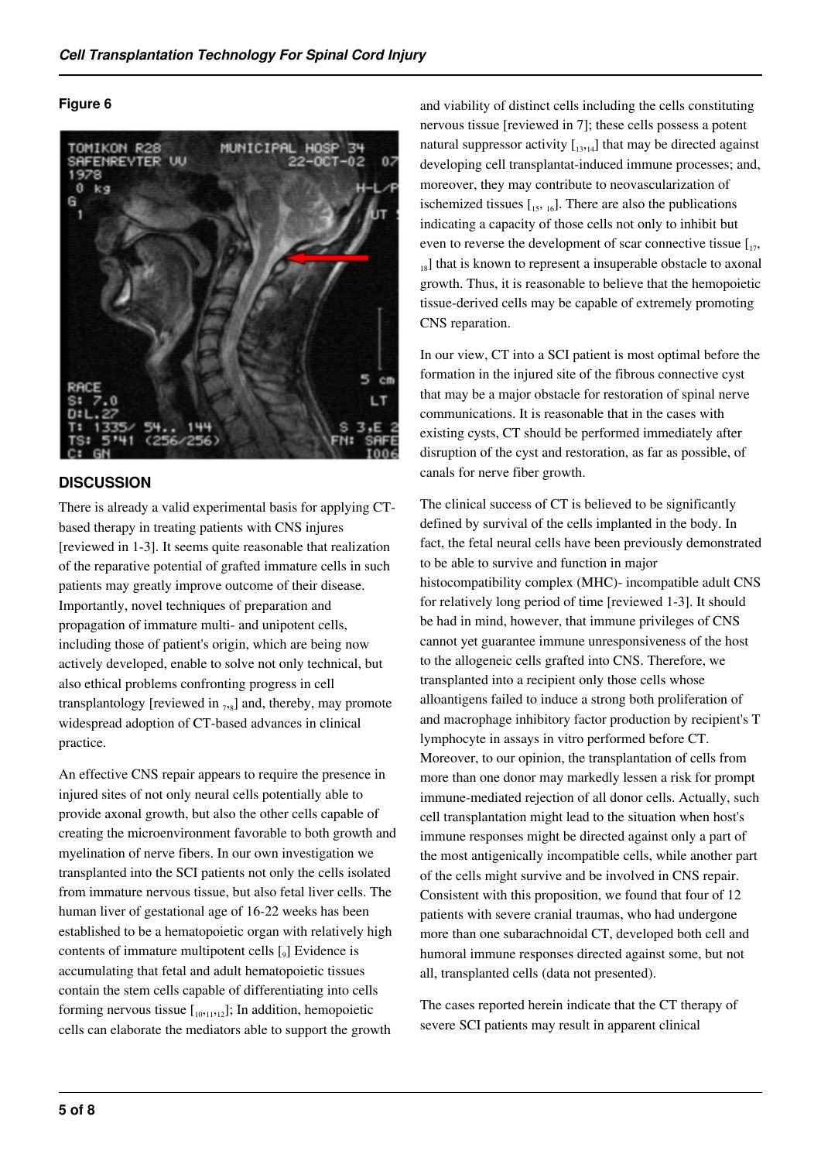#### **Figure 6**



## **DISCUSSION**

There is already a valid experimental basis for applying CTbased therapy in treating patients with CNS injures [reviewed in 1-3]. It seems quite reasonable that realization of the reparative potential of grafted immature cells in such patients may greatly improve outcome of their disease. Importantly, novel techniques of preparation and propagation of immature multi- and unipotent cells, including those of patient's origin, which are being now actively developed, enable to solve not only technical, but also ethical problems confronting progress in cell transplantology [reviewed in  $_{7,8}$ ] and, thereby, may promote widespread adoption of CT-based advances in clinical practice.

An effective CNS repair appears to require the presence in injured sites of not only neural cells potentially able to provide axonal growth, but also the other cells capable of creating the microenvironment favorable to both growth and myelination of nerve fibers. In our own investigation we transplanted into the SCI patients not only the cells isolated from immature nervous tissue, but also fetal liver cells. The human liver of gestational age of 16-22 weeks has been established to be a hematopoietic organ with relatively high contents of immature multipotent cells  $\left[\begin{smallmatrix} 0 \\ 9 \end{smallmatrix}\right]$  Evidence is accumulating that fetal and adult hematopoietic tissues contain the stem cells capable of differentiating into cells forming nervous tissue  $\begin{bmatrix} 10,11,12 \end{bmatrix}$ ; In addition, hemopoietic cells can elaborate the mediators able to support the growth

and viability of distinct cells including the cells constituting nervous tissue [reviewed in 7]; these cells possess a potent natural suppressor activity  $\begin{bmatrix} 13,14 \end{bmatrix}$  that may be directed against developing cell transplantat-induced immune processes; and, moreover, they may contribute to neovascularization of ischemized tissues  $\left[15, 16\right]$ . There are also the publications indicating a capacity of those cells not only to inhibit but even to reverse the development of scar connective tissue  $\left[\right]_{17}$ ,  $_{18}$ ] that is known to represent a insuperable obstacle to axonal growth. Thus, it is reasonable to believe that the hemopoietic tissue-derived cells may be capable of extremely promoting CNS reparation.

In our view, CT into a SCI patient is most optimal before the formation in the injured site of the fibrous connective cyst that may be a major obstacle for restoration of spinal nerve communications. It is reasonable that in the cases with existing cysts, CT should be performed immediately after disruption of the cyst and restoration, as far as possible, of canals for nerve fiber growth.

The clinical success of CT is believed to be significantly defined by survival of the cells implanted in the body. In fact, the fetal neural cells have been previously demonstrated to be able to survive and function in major histocompatibility complex (MHC)- incompatible adult CNS for relatively long period of time [reviewed 1-3]. It should be had in mind, however, that immune privileges of CNS cannot yet guarantee immune unresponsiveness of the host to the allogeneic cells grafted into CNS. Therefore, we transplanted into a recipient only those cells whose alloantigens failed to induce a strong both proliferation of and macrophage inhibitory factor production by recipient's T lymphocyte in assays in vitro performed before CT. Moreover, to our opinion, the transplantation of cells from more than one donor may markedly lessen a risk for prompt immune-mediated rejection of all donor cells. Actually, such cell transplantation might lead to the situation when host's immune responses might be directed against only a part of the most antigenically incompatible cells, while another part of the cells might survive and be involved in CNS repair. Consistent with this proposition, we found that four of 12 patients with severe cranial traumas, who had undergone more than one subarachnoidal CT, developed both cell and humoral immune responses directed against some, but not all, transplanted cells (data not presented).

The cases reported herein indicate that the CT therapy of severe SCI patients may result in apparent clinical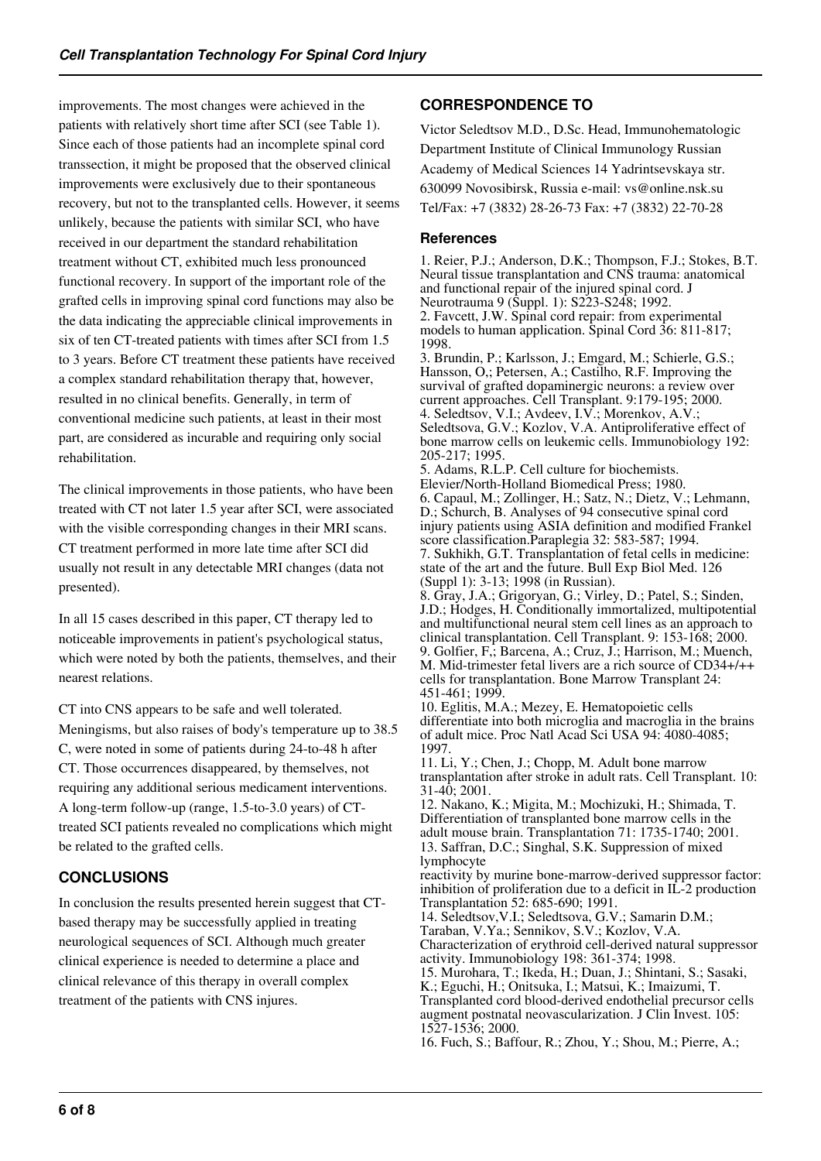improvements. The most changes were achieved in the patients with relatively short time after SCI (see Table 1). Since each of those patients had an incomplete spinal cord transsection, it might be proposed that the observed clinical improvements were exclusively due to their spontaneous recovery, but not to the transplanted cells. However, it seems unlikely, because the patients with similar SCI, who have received in our department the standard rehabilitation treatment without CT, exhibited much less pronounced functional recovery. In support of the important role of the grafted cells in improving spinal cord functions may also be the data indicating the appreciable clinical improvements in six of ten CT-treated patients with times after SCI from 1.5 to 3 years. Before CT treatment these patients have received a complex standard rehabilitation therapy that, however, resulted in no clinical benefits. Generally, in term of conventional medicine such patients, at least in their most part, are considered as incurable and requiring only social rehabilitation.

The clinical improvements in those patients, who have been treated with CT not later 1.5 year after SCI, were associated with the visible corresponding changes in their MRI scans. CT treatment performed in more late time after SCI did usually not result in any detectable MRI changes (data not presented).

In all 15 cases described in this paper, CT therapy led to noticeable improvements in patient's psychological status, which were noted by both the patients, themselves, and their nearest relations.

CT into CNS appears to be safe and well tolerated. Meningisms, but also raises of body's temperature up to 38.5 C, were noted in some of patients during 24-to-48 h after CT. Those occurrences disappeared, by themselves, not requiring any additional serious medicament interventions. A long-term follow-up (range, 1.5-to-3.0 years) of CTtreated SCI patients revealed no complications which might be related to the grafted cells.

# **CONCLUSIONS**

In conclusion the results presented herein suggest that CTbased therapy may be successfully applied in treating neurological sequences of SCI. Although much greater clinical experience is needed to determine a place and clinical relevance of this therapy in overall complex treatment of the patients with CNS injures.

# **CORRESPONDENCE TO**

Victor Seledtsov M.D., D.Sc. Head, Immunohematologic Department Institute of Clinical Immunology Russian Academy of Medical Sciences 14 Yadrintsevskaya str. 630099 Novosibirsk, Russia e-mail: vs@online.nsk.su Tel/Fax: +7 (3832) 28-26-73 Fax: +7 (3832) 22-70-28

#### **References**

1. Reier, P.J.; Anderson, D.K.; Thompson, F.J.; Stokes, B.T. Neural tissue transplantation and CNS trauma: anatomical and functional repair of the injured spinal cord. J Neurotrauma 9 (Suppl. 1): S223-S248; 1992. 2. Favcett, J.W. Spinal cord repair: from experimental models to human application. Spinal Cord 36: 811-817; 1998. 3. Brundin, P.; Karlsson, J.; Emgard, M.; Schierle, G.S.; Hansson, O,; Petersen, A.; Castilho, R.F. Improving the survival of grafted dopaminergic neurons: a review over

current approaches. Cell Transplant. 9:179-195; 2000. 4. Seledtsov, V.I.; Avdeev, I.V.; Morenkov, A.V.; Seledtsova, G.V.; Kozlov, V.A. Antiproliferative effect of bone marrow cells on leukemic cells. Immunobiology 192: 205-217; 1995.

5. Adams, R.L.P. Cell culture for biochemists. Elevier/North-Holland Biomedical Press; 1980. 6. Capaul, M.; Zollinger, H.; Satz, N.; Dietz, V.; Lehmann, D.; Schurch, B. Analyses of 94 consecutive spinal cord injury patients using ASIA definition and modified Frankel score classification. Paraplegia 32: 583-587; 1994. 7. Sukhikh, G.T. Transplantation of fetal cells in medicine: state of the art and the future. Bull Exp Biol Med. 126 (Suppl 1): 3-13; 1998 (in Russian). 8. Gray, J.A.; Grigoryan, G.; Virley, D.; Patel, S.; Sinden, J.D.; Hodges, H. Conditionally immortalized, multipotential and multifunctional neural stem cell lines as an approach to clinical transplantation. Cell Transplant. 9: 153-168; 2000. 9. Golfier, F,; Barcena, A.; Cruz, J.; Harrison, M.; Muench, M. Mid-trimester fetal livers are a rich source of CD34+/++ cells for transplantation. Bone Marrow Transplant 24: 451-461; 1999.

10. Eglitis, M.A.; Mezey, E. Hematopoietic cells differentiate into both microglia and macroglia in the brains of adult mice. Proc Natl Acad Sci USA 94: 4080-4085; 1997.

11. Li, Y.; Chen, J.; Chopp, M. Adult bone marrow transplantation after stroke in adult rats. Cell Transplant. 10: 31-40; 2001.

12. Nakano, K.; Migita, M.; Mochizuki, H.; Shimada, T. Differentiation of transplanted bone marrow cells in the adult mouse brain. Transplantation 71: 1735-1740; 2001. 13. Saffran, D.C.; Singhal, S.K. Suppression of mixed lymphocyte

reactivity by murine bone-marrow-derived suppressor factor: inhibition of proliferation due to a deficit in IL-2 production Transplantation 52: 685-690; 1991.

14. Seledtsov,V.I.; Seledtsova, G.V.; Samarin D.M.;

Taraban, V.Ya.; Sennikov, S.V.; Kozlov, V.A. Characterization of erythroid cell-derived natural suppressor

activity. Immunobiology 198: 361-374; 1998. 15. Murohara, T.; Ikeda, H.; Duan, J.; Shintani, S.; Sasaki, K.; Eguchi, H.; Onitsuka, I.; Matsui, K.; Imaizumi, T. Transplanted cord blood-derived endothelial precursor cells augment postnatal neovascularization. J Clin Invest. 105: 1527-1536; 2000.

16. Fuch, S.; Baffour, R.; Zhou, Y.; Shou, M.; Pierre, A.;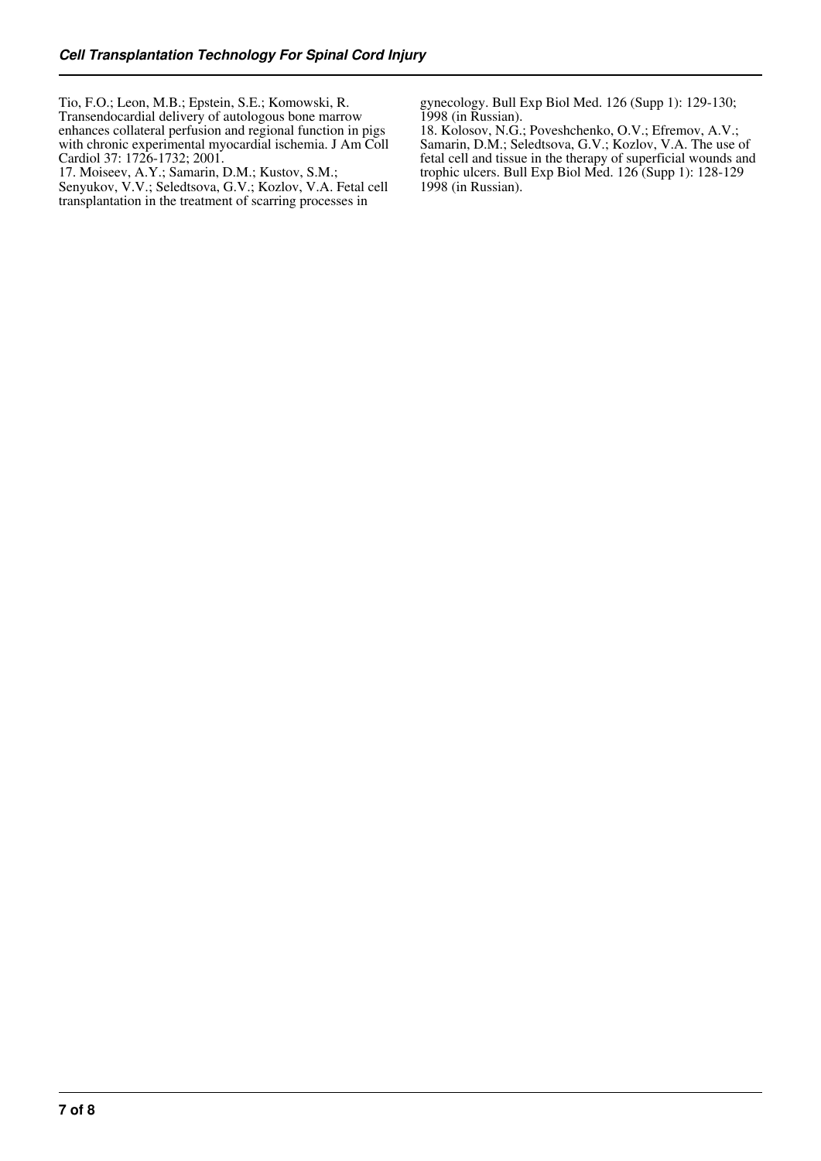Tio, F.O.; Leon, M.B.; Epstein, S.E.; Komowski, R. Transendocardial delivery of autologous bone marrow enhances collateral perfusion and regional function in pigs with chronic experimental myocardial ischemia. J Am Coll Cardiol 37: 1726-1732; 2001.

17. Moiseev, A.Y.; Samarin, D.M.; Kustov, S.M.; Senyukov, V.V.; Seledtsova, G.V.; Kozlov, V.A. Fetal cell transplantation in the treatment of scarring processes in

gynecology. Bull Exp Biol Med. 126 (Supp 1): 129-130; 1998 (in Russian).

18. Kolosov, N.G.; Poveshchenko, O.V.; Efremov, A.V.; Samarin, D.M.; Seledtsova, G.V.; Kozlov, V.A. The use of fetal cell and tissue in the therapy of superficial wounds and trophic ulcers. Bull Exp Biol Med. 126 (Supp 1): 128-129 1998 (in Russian).